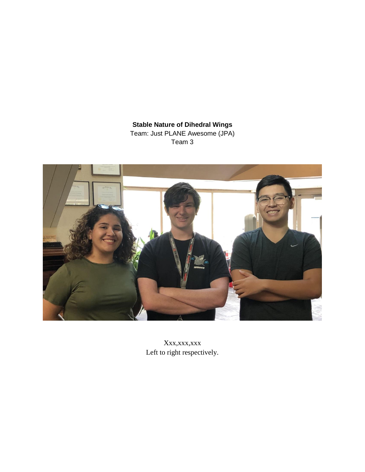**Stable Nature of Dihedral Wings**  Team: Just PLANE Awesome (JPA) Team 3



Xxx,xxx,xxx Left to right respectively.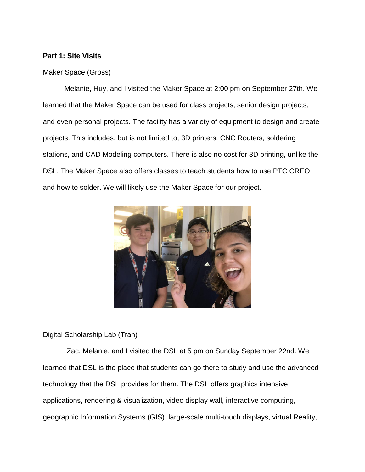### **Part 1: Site Visits**

#### Maker Space (Gross)

Melanie, Huy, and I visited the Maker Space at 2:00 pm on September 27th. We learned that the Maker Space can be used for class projects, senior design projects, and even personal projects. The facility has a variety of equipment to design and create projects. This includes, but is not limited to, 3D printers, CNC Routers, soldering stations, and CAD Modeling computers. There is also no cost for 3D printing, unlike the DSL. The Maker Space also offers classes to teach students how to use PTC CREO and how to solder. We will likely use the Maker Space for our project.



Digital Scholarship Lab (Tran)

 Zac, Melanie, and I visited the DSL at 5 pm on Sunday September 22nd. We learned that DSL is the place that students can go there to study and use the advanced technology that the DSL provides for them. The DSL offers graphics intensive applications, rendering & visualization, video display wall, interactive computing, geographic Information Systems (GIS), large-scale multi-touch displays, virtual Reality,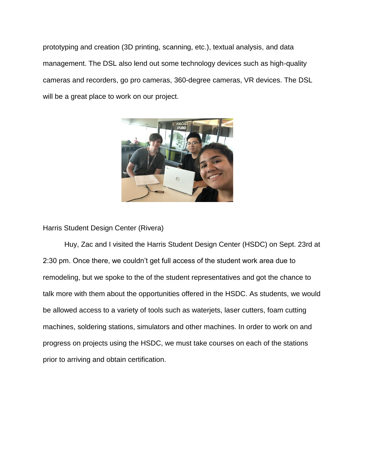prototyping and creation (3D printing, scanning, etc.), textual analysis, and data management. The DSL also lend out some technology devices such as high-quality cameras and recorders, go pro cameras, 360-degree cameras, VR devices. The DSL will be a great place to work on our project.



Harris Student Design Center (Rivera)

Huy, Zac and I visited the Harris Student Design Center (HSDC) on Sept. 23rd at 2:30 pm. Once there, we couldn't get full access of the student work area due to remodeling, but we spoke to the of the student representatives and got the chance to talk more with them about the opportunities offered in the HSDC. As students, we would be allowed access to a variety of tools such as waterjets, laser cutters, foam cutting machines, soldering stations, simulators and other machines. In order to work on and progress on projects using the HSDC, we must take courses on each of the stations prior to arriving and obtain certification.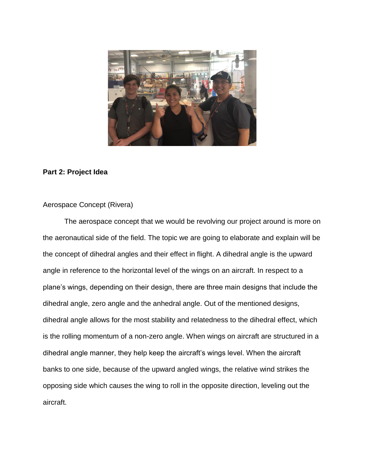

#### **Part 2: Project Idea**

## Aerospace Concept (Rivera)

The aerospace concept that we would be revolving our project around is more on the aeronautical side of the field. The topic we are going to elaborate and explain will be the concept of dihedral angles and their effect in flight. A dihedral angle is the upward angle in reference to the horizontal level of the wings on an aircraft. In respect to a plane's wings, depending on their design, there are three main designs that include the dihedral angle, zero angle and the anhedral angle. Out of the mentioned designs, dihedral angle allows for the most stability and relatedness to the dihedral effect, which is the rolling momentum of a non-zero angle. When wings on aircraft are structured in a dihedral angle manner, they help keep the aircraft's wings level. When the aircraft banks to one side, because of the upward angled wings, the relative wind strikes the opposing side which causes the wing to roll in the opposite direction, leveling out the aircraft.